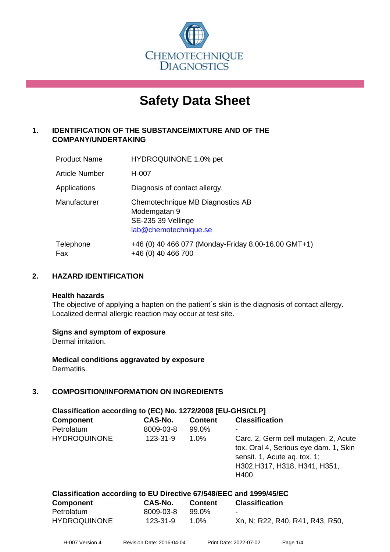

# **Safety Data Sheet**

# **1. IDENTIFICATION OF THE SUBSTANCE/MIXTURE AND OF THE COMPANY/UNDERTAKING**

| <b>Product Name</b> | HYDROQUINONE 1.0% pet                                                                           |
|---------------------|-------------------------------------------------------------------------------------------------|
| Article Number      | H-007                                                                                           |
| Applications        | Diagnosis of contact allergy.                                                                   |
| Manufacturer        | Chemotechnique MB Diagnostics AB<br>Modemgatan 9<br>SE-235 39 Vellinge<br>lab@chemotechnique.se |
| Telephone<br>Fax    | +46 (0) 40 466 077 (Monday-Friday 8.00-16.00 GMT+1)<br>+46 (0) 40 466 700                       |

# **2. HAZARD IDENTIFICATION**

#### **Health hazards**

The objective of applying a hapten on the patient's skin is the diagnosis of contact allergy. Localized dermal allergic reaction may occur at test site.

### **Signs and symptom of exposure**

Dermal irritation.

**Medical conditions aggravated by exposure** Dermatitis.

# **3. COMPOSITION/INFORMATION ON INGREDIENTS**

| Classification according to (EC) No. 1272/2008 [EU-GHS/CLP] |           |                |                                                                                                                                                        |  |  |  |
|-------------------------------------------------------------|-----------|----------------|--------------------------------------------------------------------------------------------------------------------------------------------------------|--|--|--|
| <b>Component</b>                                            | CAS-No.   | <b>Content</b> | <b>Classification</b>                                                                                                                                  |  |  |  |
| Petrolatum                                                  | 8009-03-8 | 99.0%          | ۰                                                                                                                                                      |  |  |  |
| <b>HYDROQUINONE</b>                                         | 123-31-9  | 1.0%           | Carc. 2, Germ cell mutagen. 2, Acute<br>tox. Oral 4, Serious eye dam. 1, Skin<br>sensit. 1, Acute aq. tox. 1;<br>H302, H317, H318, H341, H351,<br>H400 |  |  |  |

| Classification according to EU Directive 67/548/EEC and 1999/45/EC |           |                |                                 |  |  |  |
|--------------------------------------------------------------------|-----------|----------------|---------------------------------|--|--|--|
| Component                                                          | CAS-No.   | <b>Content</b> | <b>Classification</b>           |  |  |  |
| Petrolatum                                                         | 8009-03-8 | 99.0%          | -                               |  |  |  |
| <b>HYDROQUINONE</b>                                                | 123-31-9  | 1 በ%           | Xn, N; R22, R40, R41, R43, R50, |  |  |  |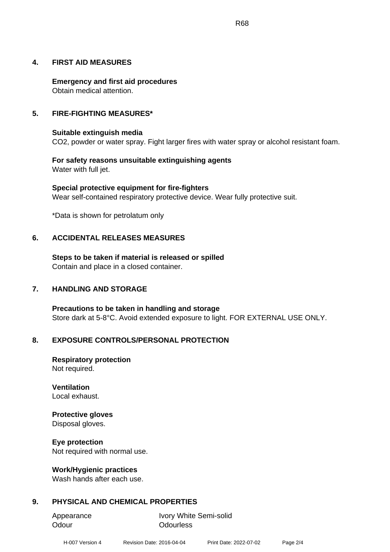#### **4. FIRST AID MEASURES**

**Emergency and first aid procedures** Obtain medical attention.

#### **5. FIRE-FIGHTING MEASURES\***

#### **Suitable extinguish media**

CO2, powder or water spray. Fight larger fires with water spray or alcohol resistant foam.

#### **For safety reasons unsuitable extinguishing agents** Water with full jet.

**Special protective equipment for fire-fighters** Wear self-contained respiratory protective device. Wear fully protective suit.

\*Data is shown for petrolatum only

### **6. ACCIDENTAL RELEASES MEASURES**

**Steps to be taken if material is released or spilled** Contain and place in a closed container.

### **7. HANDLING AND STORAGE**

**Precautions to be taken in handling and storage** Store dark at 5-8°C. Avoid extended exposure to light. FOR EXTERNAL USE ONLY.

### **8. EXPOSURE CONTROLS/PERSONAL PROTECTION**

**Respiratory protection** Not required.

**Ventilation** Local exhaust.

# **Protective gloves**

Disposal gloves.

#### **Eye protection**

Not required with normal use.

#### **Work/Hygienic practices**

Wash hands after each use.

# **9. PHYSICAL AND CHEMICAL PROPERTIES**

Odour **Odourless** 

Appearance Ivory White Semi-solid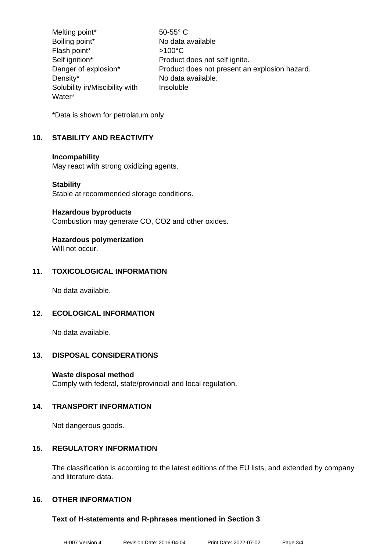Melting point\* 50-55° C Boiling point\* No data available Flash point\*  $>100^{\circ}$ C Self ignition\* Product does not self ignite. Danger of explosion\* Product does not present an explosion hazard. Density\* No data available. Solubility in/Miscibility with Water\* Insoluble

\*Data is shown for petrolatum only

# **10. STABILITY AND REACTIVITY**

#### **Incompability**

May react with strong oxidizing agents.

#### **Stability**

Stable at recommended storage conditions.

#### **Hazardous byproducts**

Combustion may generate CO, CO2 and other oxides.

# **Hazardous polymerization**

Will not occur.

# **11. TOXICOLOGICAL INFORMATION**

No data available.

# **12. ECOLOGICAL INFORMATION**

No data available.

### **13. DISPOSAL CONSIDERATIONS**

### **Waste disposal method**

Comply with federal, state/provincial and local regulation.

### **14. TRANSPORT INFORMATION**

Not dangerous goods.

### **15. REGULATORY INFORMATION**

The classification is according to the latest editions of the EU lists, and extended by company and literature data.

# **16. OTHER INFORMATION**

### **Text of H-statements and R-phrases mentioned in Section 3**